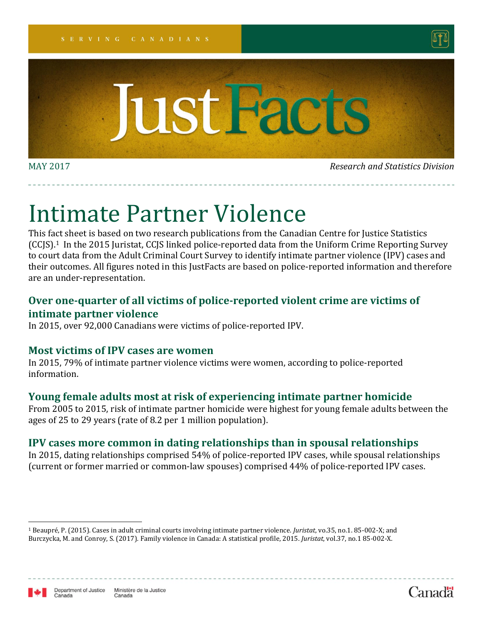



MAY 2017 *Research and Statistics Division*

# Intimate Partner Violence

This fact sheet is based on two research publications from the Canadian Centre for Justice Statistics (CCJS). <sup>1</sup> In the 2015 Juristat, CCJS linked police-reported data from the Uniform Crime Reporting Survey to court data from the Adult Criminal Court Survey to identify intimate partner violence (IPV) cases and their outcomes. All figures noted in this JustFacts are based on police-reported information and therefore are an under-representation.

### **Over one-quarter of all victims of police-reported violent crime are victims of intimate partner violence**

In 2015, over 92,000 Canadians were victims of police-reported IPV.

#### **Most victims of IPV cases are women**

In 2015, 79% of intimate partner violence victims were women, according to police-reported information.

#### **Young female adults most at risk of experiencing intimate partner homicide**

From 2005 to 2015, risk of intimate partner homicide were highest for young female adults between the ages of 25 to 29 years (rate of 8.2 per 1 million population).

#### **IPV cases more common in dating relationships than in spousal relationships**

In 2015, dating relationships comprised 54% of police-reported IPV cases, while spousal relationships (current or former married or common-law spouses) comprised 44% of police-reported IPV cases.



 $\overline{a}$ 



<sup>1</sup> Beaupré, P. (2015). Cases in adult criminal courts involving intimate partner violence. *Juristat*, vo.35, no.1. 85-002-X; and Burczycka, M. and Conroy, S. (2017). Family violence in Canada: A statistical profile, 2015. *Juristat*, vol.37, no.1 85-002-X.